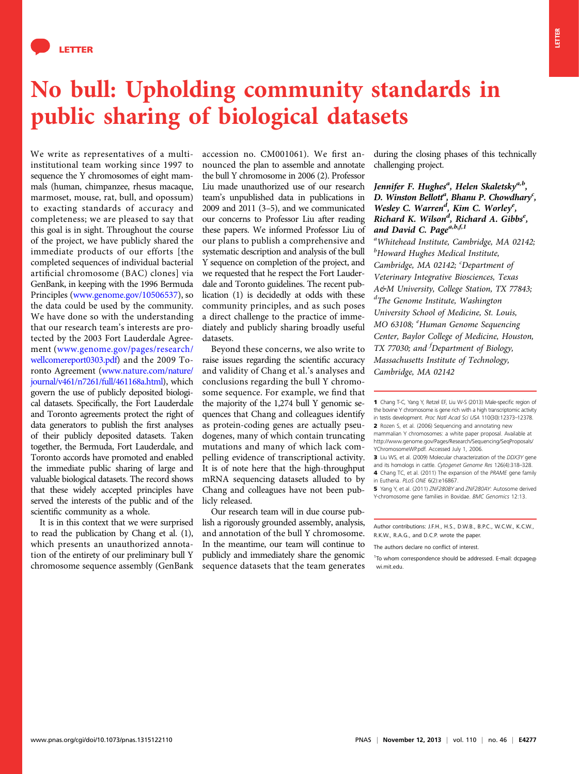

## No bull: Upholding community standards in public sharing of biological datasets

We write as representatives of a multiinstitutional team working since 1997 to sequence the Y chromosomes of eight mammals (human, chimpanzee, rhesus macaque, marmoset, mouse, rat, bull, and opossum) to exacting standards of accuracy and completeness; we are pleased to say that this goal is in sight. Throughout the course of the project, we have publicly shared the immediate products of our efforts [the completed sequences of individual bacterial artificial chromosome (BAC) clones] via GenBank, in keeping with the 1996 Bermuda Principles ([www.genome.gov/10506537\)](http://www.genome.gov/10506537), so the data could be used by the community. We have done so with the understanding that our research team's interests are protected by the 2003 Fort Lauderdale Agreement ([www.genome.gov/pages/research/](http://www.genome.gov/pages/research/wellcomereport0303.pdf) [wellcomereport0303.pdf](http://www.genome.gov/pages/research/wellcomereport0303.pdf)) and the 2009 Toronto Agreement ([www.nature.com/nature/](http://www.nature.com/nature/journal/v461/n7261/full/461168a.html) [journal/v461/n7261/full/461168a.html\)](http://www.nature.com/nature/journal/v461/n7261/full/461168a.html), which govern the use of publicly deposited biological datasets. Specifically, the Fort Lauderdale and Toronto agreements protect the right of data generators to publish the first analyses of their publicly deposited datasets. Taken together, the Bermuda, Fort Lauderdale, and Toronto accords have promoted and enabled the immediate public sharing of large and valuable biological datasets. The record shows that these widely accepted principles have served the interests of the public and of the scientific community as a whole.

It is in this context that we were surprised to read the publication by Chang et al. (1), which presents an unauthorized annotation of the entirety of our preliminary bull Y chromosome sequence assembly (GenBank accession no. CM001061). We first announced the plan to assemble and annotate the bull Y chromosome in 2006 (2). Professor Liu made unauthorized use of our research team's unpublished data in publications in 2009 and 2011 (3–5), and we communicated our concerns to Professor Liu after reading these papers. We informed Professor Liu of our plans to publish a comprehensive and systematic description and analysis of the bull Y sequence on completion of the project, and we requested that he respect the Fort Lauderdale and Toronto guidelines. The recent publication (1) is decidedly at odds with these community principles, and as such poses a direct challenge to the practice of immediately and publicly sharing broadly useful datasets.

Beyond these concerns, we also write to raise issues regarding the scientific accuracy and validity of Chang et al.'s analyses and conclusions regarding the bull Y chromosome sequence. For example, we find that the majority of the 1,274 bull Y genomic sequences that Chang and colleagues identify as protein-coding genes are actually pseudogenes, many of which contain truncating mutations and many of which lack compelling evidence of transcriptional activity. It is of note here that the high-throughput mRNA sequencing datasets alluded to by Chang and colleagues have not been publicly released.

Our research team will in due course publish a rigorously grounded assembly, analysis, and annotation of the bull Y chromosome. In the meantime, our team will continue to publicly and immediately share the genomic sequence datasets that the team generates

during the closing phases of this technically challenging project.

## Jennifer F. Hughes<sup>a</sup>, Helen Skaletsky<sup>a,b</sup>, D. Winston Bellott<sup>a</sup>, Bhanu P. Chowdhary<sup>c</sup>, Wesley C. Warren<sup>d</sup>, Kim C. Worley<sup>e</sup>, Richard K. Wilson<sup>d</sup>, Richard A. Gibbs<sup>e</sup>, and David C. Page<sup>a,b,f,1</sup>

<sup>a</sup>Whitehead Institute, Cambridge, MA 02142; <sup>b</sup>Howard Hughes Medical Institute, Cambridge, MA 02142; <sup>c</sup>Department of Veterinary Integrative Biosciences, Texas A&M University, College Station, TX 77843; <sup>d</sup>The Genome Institute, Washington University School of Medicine, St. Louis, MO 63108; <sup>e</sup>Human Genome Sequencing Center, Baylor College of Medicine, Houston, TX 77030; and <sup>f</sup>Department of Biology, Massachusetts Institute of Technology, Cambridge, MA 02142

Y-chromosome gene families in Bovidae. BMC Genomics 12:13.

Author contributions: J.F.H., H.S., D.W.B., B.P.C., W.C.W., K.C.W., R.K.W., R.A.G., and D.C.P. wrote the paper.

<sup>1</sup>To whom correspondence should be addressed. E-mail: [dcpage@](mailto:dcpage@wi.mit.edu) [wi.mit.edu.](mailto:dcpage@wi.mit.edu)

<sup>1</sup> Chang T-C, Yang Y, Retzel EF, Liu W-S (2013) Male-specific region of the bovine Y chromosome is gene rich with a high transcriptomic activity in testis development. Proc Natl Acad Sci USA 110(30):12373–12378. 2 Rozen S, et al. (2006) Sequencing and annotating new mammalian Y chromosomes: a white paper proposal. Available at [http://www.genome.gov/Pages/Research/Sequencing/SeqProposals/](http://www.genome.gov/Pages/Research/Sequencing/SeqProposals/YChromosomeWP.pdf) [YChromosomeWP.pdf.](http://www.genome.gov/Pages/Research/Sequencing/SeqProposals/YChromosomeWP.pdf) Accessed July 1, 2006.

<sup>3</sup> Liu WS, et al. (2009) Molecular characterization of the DDX3Y gene and its homologs in cattle. Cytogenet Genome Res 126(4):318–328. 4 Chang TC, et al. (2011) The expansion of the PRAME gene family

in Eutheria. PLoS ONE 6(2):e16867. 5 Yang Y, et al. (2011) ZNF280BY and ZNF280AY: Autosome derived

The authors declare no conflict of interest.